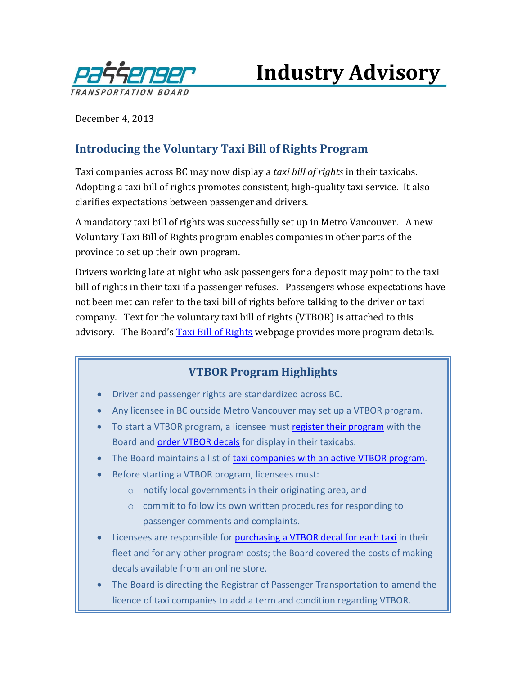

**Industry Advisory**

December 4, 2013

## **Introducing the Voluntary Taxi Bill of Rights Program**

Taxi companies across BC may now display a *taxi bill of rights* in their taxicabs. Adopting a taxi bill of rights promotes consistent, high-quality taxi service. It also clarifies expectations between passenger and drivers.

A mandatory taxi bill of rights was successfully set up in Metro Vancouver. A new Voluntary Taxi Bill of Rights program enables companies in other parts of the province to set up their own program.

Drivers working late at night who ask passengers for a deposit may point to the taxi bill of rights in their taxi if a passenger refuses. Passengers whose expectations have not been met can refer to the taxi bill of rights before talking to the driver or taxi company. Text for the voluntary taxi bill of rights (VTBOR) is attached to this advisory. The Board's **[Taxi Bill of Rights](http://www.th.gov.bc.ca/ptb/taxi_rights.htm)** webpage provides more program details.

## **VTBOR Program Highlights**

- Driver and passenger rights are standardized across BC.
- Any licensee in BC outside Metro Vancouver may set up a VTBOR program.
- To start a VTBOR [program](http://www.th.gov.bc.ca/forms/getForm.aspx?formId=1328), a licensee must register their program with the Board and [order VTBOR decals](http://www.crownpub.bc.ca/Product/Details/7610003505_S) for display in their taxicabs.
- The Board maintains a list of [taxi companies with an active](http://www.th.gov.bc.ca/ptb/taxi_rights_companies.htm) VTBOR program.
- Before starting a VTBOR program, licensees must:
	- o notify local governments in their originating area, and
	- o commit to follow its own written procedures for responding to passenger comments and complaints.
- Licensees are responsible for [purchasing a VTBOR decal for each taxi](http://www.crownpub.bc.ca/Product/Details/7610003505_S) in their fleet and for any other program costs; the Board covered the costs of making decals available from an online store.
- The Board is directing the Registrar of Passenger Transportation to amend the licence of taxi companies to add a term and condition regarding VTBOR.